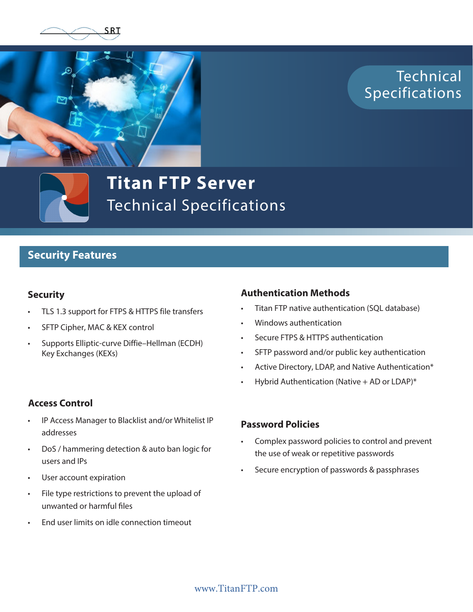



Technical **Specifications** 



**Titan FTP Server** Technical Specifications

# **Security Features**

### **Security**

- TLS 1.3 support for FTPS & HTTPS file transfers
- SFTP Cipher, MAC & KEX control
- Supports Elliptic-curve Diffie–Hellman (ECDH) Key Exchanges (KEXs)

## **Authentication Methods**

- Titan FTP native authentication (SQL database)
- Windows authentication
- Secure FTPS & HTTPS authentication
- SFTP password and/or public key authentication
- Active Directory, LDAP, and Native Authentication\*
- Hybrid Authentication (Native  $+$  AD or LDAP)\*

## **Access Control**

- IP Access Manager to Blacklist and/or Whitelist IP addresses
- DoS / hammering detection & auto ban logic for users and IPs
- User account expiration
- File type restrictions to prevent the upload of unwanted or harmful files
- End user limits on idle connection timeout

### **Password Policies**

- Complex password policies to control and prevent the use of weak or repetitive passwords
- Secure encryption of passwords & passphrases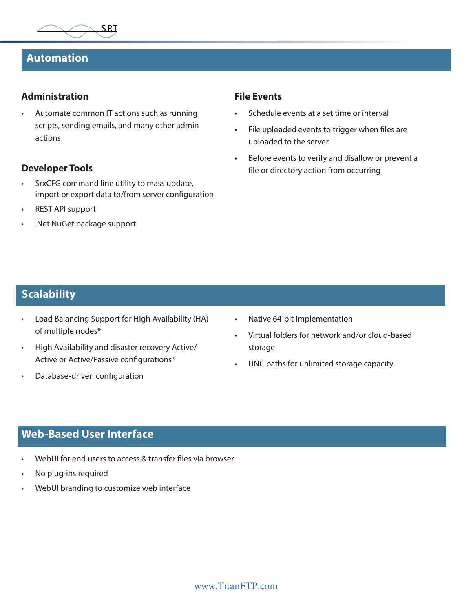

# **Automation**

#### **Administration**

• Automate common IT actions such as running scripts, sending emails, and many other admin actions

### **Developer Tools**

- SrxCFG command line utility to mass update, import or export data to/from server configuration
- REST API support
- .Net NuGet package support

#### **File Events**

- Schedule events at a set time or interval
- File uploaded events to trigger when files are uploaded to the server
- Before events to verify and disallow or prevent a file or directory action from occurring

# **Scalability**

- Load Balancing Support for High Availability (HA) of multiple nodes\*
- High Availability and disaster recovery Active/ Active or Active/Passive configurations\*
- Database-driven configuration
- Native 64-bit implementation
- Virtual folders for network and/or cloud-based storage
- UNC paths for unlimited storage capacity

# **Web-Based User Interface**

- WebUI for end users to access & transfer files via browser
- No plug-ins required
- WebUI branding to customize web interface